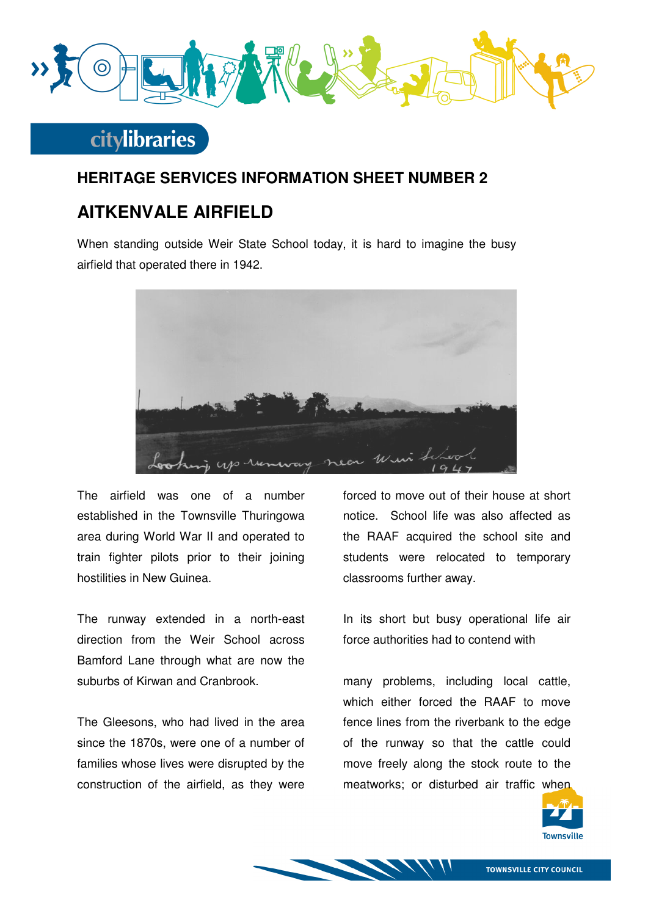

## **citylibraries**

#### **HERITAGE SERVICES INFORMATION SHEET NUMBER 2**

### **AITKENVALE AIRFIELD**

When standing outside Weir State School today, it is hard to imagine the busy airfield that operated there in 1942.



The airfield was one of a number established in the Townsville Thuringowa area during World War II and operated to train fighter pilots prior to their joining hostilities in New Guinea.

The runway extended in a north-east direction from the Weir School across Bamford Lane through what are now the suburbs of Kirwan and Cranbrook.

The Gleesons, who had lived in the area since the 1870s, were one of a number of families whose lives were disrupted by the construction of the airfield, as they were

forced to move out of their house at short notice. School life was also affected as the RAAF acquired the school site and students were relocated to temporary classrooms further away.

In its short but busy operational life air force authorities had to contend with

many problems, including local cattle, which either forced the RAAF to move fence lines from the riverbank to the edge of the runway so that the cattle could move freely along the stock route to the meatworks; or disturbed air traffic when